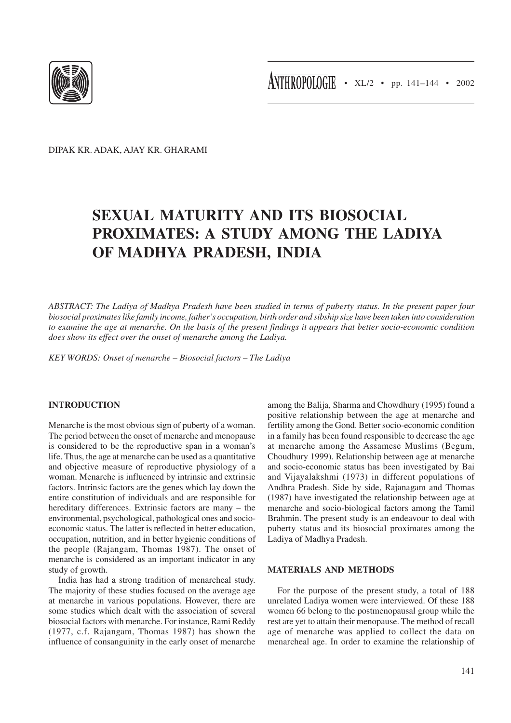

DIPAK KR. ADAK, AJAY KR. GHARAMI

# **SEXUAL MATURITY AND ITS BIOSOCIAL PROXIMATES: A STUDY AMONG THE LADIYA OF MADHYA PRADESH, INDIA**

*ABSTRACT: The Ladiya of Madhya Pradesh have been studied in terms of puberty status. In the present paper four biosocial proximates like family income, father's occupation, birth order and sibship size have been taken into consideration to examine the age at menarche. On the basis of the present findings it appears that better socio-economic condition does show its effect over the onset of menarche among the Ladiya.*

*KEY WORDS: Onset of menarche – Biosocial factors – The Ladiya*

## **INTRODUCTION**

Menarche is the most obvious sign of puberty of a woman. The period between the onset of menarche and menopause is considered to be the reproductive span in a woman's life. Thus, the age at menarche can be used as a quantitative and objective measure of reproductive physiology of a woman. Menarche is influenced by intrinsic and extrinsic factors. Intrinsic factors are the genes which lay down the entire constitution of individuals and are responsible for hereditary differences. Extrinsic factors are many – the environmental, psychological, pathological ones and socioeconomic status. The latter is reflected in better education, occupation, nutrition, and in better hygienic conditions of the people (Rajangam, Thomas 1987). The onset of menarche is considered as an important indicator in any study of growth.

India has had a strong tradition of menarcheal study. The majority of these studies focused on the average age at menarche in various populations. However, there are some studies which dealt with the association of several biosocial factors with menarche. For instance, Rami Reddy (1977, c.f. Rajangam, Thomas 1987) has shown the influence of consanguinity in the early onset of menarche

among the Balija, Sharma and Chowdhury (1995) found a positive relationship between the age at menarche and fertility among the Gond. Better socio-economic condition in a family has been found responsible to decrease the age at menarche among the Assamese Muslims (Begum, Choudhury 1999). Relationship between age at menarche and socio-economic status has been investigated by Bai and Vijayalakshmi (1973) in different populations of Andhra Pradesh. Side by side, Rajanagam and Thomas (1987) have investigated the relationship between age at menarche and socio-biological factors among the Tamil Brahmin. The present study is an endeavour to deal with puberty status and its biosocial proximates among the Ladiya of Madhya Pradesh.

# **MATERIALS AND METHODS**

For the purpose of the present study, a total of 188 unrelated Ladiya women were interviewed. Of these 188 women 66 belong to the postmenopausal group while the rest are yet to attain their menopause. The method of recall age of menarche was applied to collect the data on menarcheal age. In order to examine the relationship of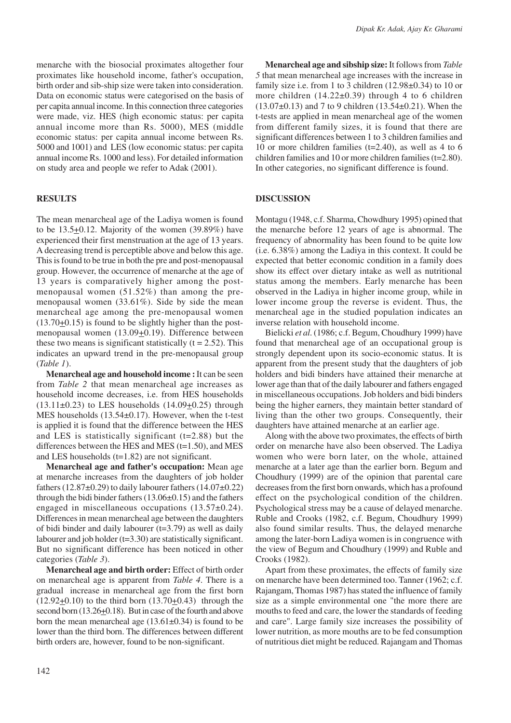menarche with the biosocial proximates altogether four proximates like household income, father's occupation, birth order and sib-ship size were taken into consideration. Data on economic status were categorised on the basis of per capita annual income. In this connection three categories were made, viz. HES (high economic status: per capita annual income more than Rs. 5000), MES (middle economic status: per capita annual income between Rs. 5000 and 1001) and LES (low economic status: per capita annual income Rs. 1000 and less). For detailed information on study area and people we refer to Adak (2001).

## **RESULTS**

The mean menarcheal age of the Ladiya women is found to be  $13.5\pm0.12$ . Majority of the women (39.89%) have experienced their first menstruation at the age of 13 years. A decreasing trend is perceptible above and below this age. This is found to be true in both the pre and post-menopausal group. However, the occurrence of menarche at the age of 13 years is comparatively higher among the postmenopausal women (51.52%) than among the premenopausal women (33.61%). Side by side the mean menarcheal age among the pre-menopausal women (13.70+0.15) is found to be slightly higher than the postmenopausal women  $(13.09 \pm 0.19)$ . Difference between these two means is significant statistically  $(t = 2.52)$ . This indicates an upward trend in the pre-menopausal group (*Table 1*).

**Menarcheal age and household income :** It can be seen from *Table 2* that mean menarcheal age increases as household income decreases, i.e. from HES households  $(13.11\pm0.23)$  to LES households  $(14.09\pm0.25)$  through MES households (13.54±0.17). However, when the t-test is applied it is found that the difference between the HES and LES is statistically significant (t=2.88) but the differences between the HES and MES  $(t=1.50)$ , and MES and LES households (t=1.82) are not significant.

**Menarcheal age and father's occupation:** Mean age at menarche increases from the daughters of job holder fathers  $(12.87\pm0.29)$  to daily labourer fathers  $(14.07\pm0.22)$ through the bidi binder fathers  $(13.06\pm0.15)$  and the fathers engaged in miscellaneous occupations (13.57±0.24). Differences in mean menarcheal age between the daughters of bidi binder and daily labourer  $(t=3.79)$  as well as daily labourer and job holder (t=3.30) are statistically significant. But no significant difference has been noticed in other categories (*Table 3*).

**Menarcheal age and birth order:** Effect of birth order on menarcheal age is apparent from *Table 4*. There is a gradual increase in menarcheal age from the first born  $(12.92+0.10)$  to the third born  $(13.70+0.43)$  through the second born  $(13.26\pm0.18)$ . But in case of the fourth and above born the mean menarcheal age  $(13.61\pm0.34)$  is found to be lower than the third born. The differences between different birth orders are, however, found to be non-significant.

**Menarcheal age and sibship size:** It follows from *Table 5* that mean menarcheal age increases with the increase in family size i.e. from 1 to 3 children  $(12.98\pm0.34)$  to 10 or more children  $(14.22\pm0.39)$  through 4 to 6 children  $(13.07\pm0.13)$  and 7 to 9 children  $(13.54\pm0.21)$ . When the t-tests are applied in mean menarcheal age of the women from different family sizes, it is found that there are significant differences between 1 to 3 children families and 10 or more children families  $(t=2.40)$ , as well as 4 to 6 children families and 10 or more children families (t=2.80). In other categories, no significant difference is found.

#### **DISCUSSION**

Montagu (1948, c.f. Sharma, Chowdhury 1995) opined that the menarche before 12 years of age is abnormal. The frequency of abnormality has been found to be quite low (i.e. 6.38%) among the Ladiya in this context. It could be expected that better economic condition in a family does show its effect over dietary intake as well as nutritional status among the members. Early menarche has been observed in the Ladiya in higher income group, while in lower income group the reverse is evident. Thus, the menarcheal age in the studied population indicates an inverse relation with household income.

Bielicki *et al*. (1986; c.f. Begum, Choudhury 1999) have found that menarcheal age of an occupational group is strongly dependent upon its socio-economic status. It is apparent from the present study that the daughters of job holders and bidi binders have attained their menarche at lower age than that of the daily labourer and fathers engaged in miscellaneous occupations. Job holders and bidi binders being the higher earners, they maintain better standard of living than the other two groups. Consequently, their daughters have attained menarche at an earlier age.

Along with the above two proximates, the effects of birth order on menarche have also been observed. The Ladiya women who were born later, on the whole, attained menarche at a later age than the earlier born. Begum and Choudhury (1999) are of the opinion that parental care decreases from the first born onwards, which has a profound effect on the psychological condition of the children. Psychological stress may be a cause of delayed menarche. Ruble and Crooks (1982, c.f. Begum, Choudhury 1999) also found similar results. Thus, the delayed menarche among the later-born Ladiya women is in congruence with the view of Begum and Choudhury (1999) and Ruble and Crooks (1982).

Apart from these proximates, the effects of family size on menarche have been determined too. Tanner (1962; c.f. Rajangam, Thomas 1987) has stated the influence of family size as a simple environmental one "the more there are mouths to feed and care, the lower the standards of feeding and care". Large family size increases the possibility of lower nutrition, as more mouths are to be fed consumption of nutritious diet might be reduced. Rajangam and Thomas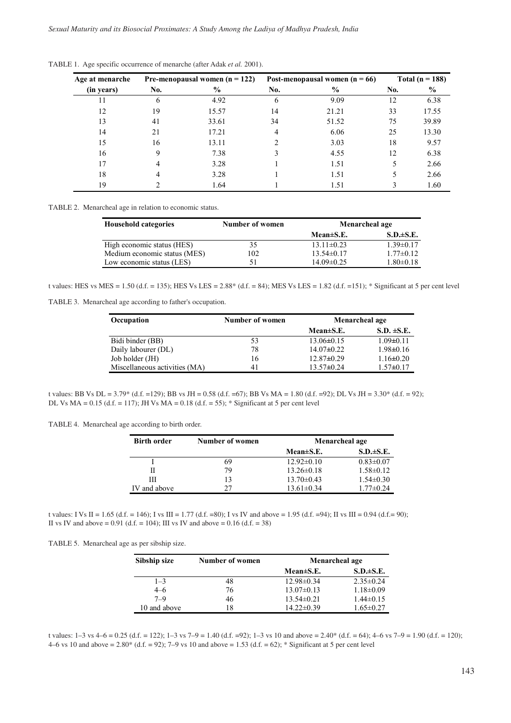| Age at menarche | Pre-menopausal women $(n = 122)$ |               | Post-menopausal women $(n = 66)$ |       | Total ( $n = 188$ ) |       |
|-----------------|----------------------------------|---------------|----------------------------------|-------|---------------------|-------|
| (in years)      | No.                              | $\frac{6}{9}$ | No.                              | $\%$  | No.                 | $\%$  |
| 11              | 6                                | 4.92          | 6                                | 9.09  | 12                  | 6.38  |
| 12              | 19                               | 15.57         | 14                               | 21.21 | 33                  | 17.55 |
| 13              | 41                               | 33.61         | 34                               | 51.52 | 75                  | 39.89 |
| 14              | 21                               | 17.21         | 4                                | 6.06  | 25                  | 13.30 |
| 15              | 16                               | 13.11         | $\mathfrak{D}$                   | 3.03  | 18                  | 9.57  |
| 16              | 9                                | 7.38          |                                  | 4.55  | 12                  | 6.38  |
| 17              | 4                                | 3.28          |                                  | 1.51  | 5.                  | 2.66  |
| 18              |                                  | 3.28          |                                  | 1.51  | 5.                  | 2.66  |
| 19              |                                  | 1.64          |                                  | 1.51  |                     | 1.60  |

TABLE 1. Age specific occurrence of menarche (after Adak *et al.* 2001).

TABLE 2. Menarcheal age in relation to economic status.

| <b>Household categories</b>  | Number of women | Menarcheal age  |                 |
|------------------------------|-----------------|-----------------|-----------------|
|                              |                 | $Mean \pm S.E.$ | $S.D. \pm S.E.$ |
| High economic status (HES)   | 35              | $13.11\pm0.23$  | $1.39\pm0.17$   |
| Medium economic status (MES) | 102             | $13.54\pm0.17$  | $1.77\pm 0.12$  |
| Low economic status (LES)    | 51              | $14.09\pm0.25$  | $1.80 \pm 0.18$ |

t values: HES vs MES = 1.50 (d.f. = 135); HES Vs LES = 2.88\* (d.f. = 84); MES Vs LES = 1.82 (d.f. =151); \* Significant at 5 per cent level

TABLE 3. Menarcheal age according to father's occupation.

| Occupation                    | Number of women | Menarcheal age   |                 |
|-------------------------------|-----------------|------------------|-----------------|
|                               |                 | Mean $\pm$ S.E.  | $S.D. \pm S.E.$ |
| Bidi binder (BB)              | 53              | $13.06 \pm 0.15$ | $1.09 \pm 0.11$ |
| Daily labourer (DL)           | 78              | $14.07\pm0.22$   | $1.98 \pm 0.16$ |
| Job holder (JH)               | 16              | $12.87\pm0.29$   | $1.16 \pm 0.20$ |
| Miscellaneous activities (MA) | 41              | $13.57 \pm 0.24$ | $1.57 \pm 0.17$ |

t values: BB Vs DL = 3.79\* (d.f. =129); BB vs JH = 0.58 (d.f. =67); BB Vs MA = 1.80 (d.f. =92); DL Vs JH = 3.30\* (d.f. = 92); DL Vs  $MA = 0.15$  (d.f. = 117); JH Vs  $MA = 0.18$  (d.f. = 55); \* Significant at 5 per cent level

TABLE 4. Menarcheal age according to birth order.

| <b>Birth order</b> | Number of women | Menarcheal age   |                 |  |
|--------------------|-----------------|------------------|-----------------|--|
|                    |                 | $Mean \pm S.E.$  | $S.D. \pm S.E.$ |  |
|                    | 69              | $12.92\pm 0.10$  | $0.83 \pm 0.07$ |  |
| Н                  | 79              | $13.26 \pm 0.18$ | $1.58 \pm 0.12$ |  |
| Ш                  | 13              | $13.70 \pm 0.43$ | $1.54 \pm 0.30$ |  |
| IV and above       | 27              | $13.61 \pm 0.34$ | $1.77 \pm 0.24$ |  |

t values: I Vs II = 1.65 (d.f. = 146); I vs III = 1.77 (d.f. = 80); I vs IV and above = 1.95 (d.f. = 94); II vs III = 0.94 (d.f. = 90); II vs IV and above =  $0.91$  (d.f. = 104); III vs IV and above =  $0.16$  (d.f. = 38)

TABLE 5. Menarcheal age as per sibship size.

| Sibship size | Number of women | Menarcheal age   |                 |  |
|--------------|-----------------|------------------|-----------------|--|
|              |                 | $Mean \pm S.E.$  | $S.D. \pm S.E.$ |  |
| $1 - 3$      | 48              | $12.98 \pm 0.34$ | $2.35 \pm 0.24$ |  |
| $4 - 6$      | 76              | $13.07\pm0.13$   | $1.18 \pm 0.09$ |  |
| $7 - 9$      | 46              | $13.54 \pm 0.21$ | $1.44 \pm 0.15$ |  |
| 10 and above | 18              | $14.22\pm0.39$   | $1.65 \pm 0.27$ |  |

t values:  $1-3$  vs  $4-6 = 0.25$  (d.f. = 122);  $1-3$  vs  $7-9 = 1.40$  (d.f. =92);  $1-3$  vs 10 and above =  $2.40^*$  (d.f. = 64);  $4-6$  vs  $7-9 = 1.90$  (d.f. = 120); 4–6 vs 10 and above =  $2.80^*$  (d.f. = 92); 7–9 vs 10 and above = 1.53 (d.f. = 62); \* Significant at 5 per cent level